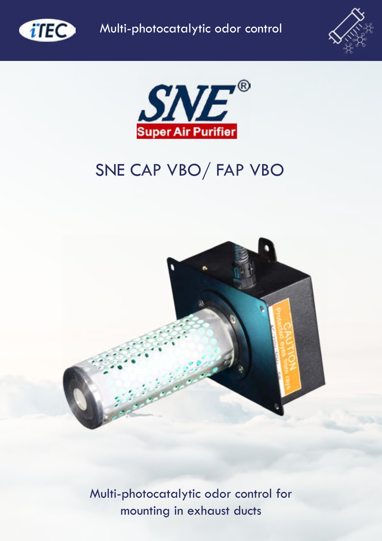





# SNE CAP VBO/ FAP VBO



Multi-photocatalytic odor control for mounting in exhaust ducts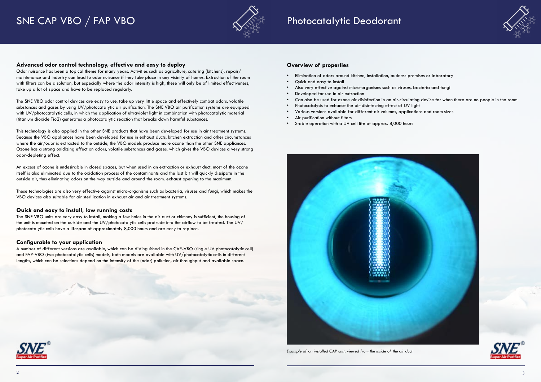# SNE CAP VBO / FAP VBO  $\sim\ \sqrt{\mathbb{R}}$  Photocatalytic Deodorant



#### **Advanced odor control technology, effective and easy to deploy**

Odor nuisance has been a topical theme for many years. Activities such as agriculture, catering (kitchens), repair/ maintenance and industry can lead to odor nuisance if they take place in any vicinity of homes. Extraction of the room with filters can be a solution, but especially where the odor intensity is high, these will only be of limited effectiveness, take up a lot of space and have to be replaced regularly.

The SNE VBO odor control devices are easy to use, take up very little space and effectively combat odors, volatile substances and gases by using UV/photocatalytic air purification. The SNE VBO air purification systems are equipped with UV/photocatalytic cells, in which the application of ultraviolet light in combination with photocatalytic material (titanium dioxide Tio2) generates a photocatalytic reaction that breaks down harmful substances.

This technology is also applied in the other SNE products that have been developed for use in air treatment systems. Because the VBO appliances have been developed for use in exhaust ducts, kitchen extraction and other circumstances where the air/odor is extracted to the outside, the VBO models produce more ozone than the other SNE appliances. Ozone has a strong oxidizing effect on odors, volatile substances and gases, which gives the VBO devices a very strong odor-depleting effect.

- Elimination of odors around kitchen, installation, business premises or laboratory
- Quick and easy to install
- Also very effective against micro-organisms such as viruses, bacteria and fungi
- Developed for use in air extraction
- Can also be used for ozone air disinfection in an air-circulating device for when there are no people in the room
- Photocatalysis to enhance the air-disinfecting effect of UV light
- Various versions available for different air volumes, applications and room sizes
- Air purification without filters
- Stable operation with a UV cell life of approx. 8,000 hours



An excess of ozone is undesirable in closed spaces, but when used in an extraction or exhaust duct, most of the ozone itself is also eliminated due to the oxidation process of the contaminants and the last bit will quickly dissipate in the outside air, thus eliminating odors on the way outside and around the room. exhaust opening to the maximum.

These technologies are also very effective against micro-organisms such as bacteria, viruses and fungi, which makes the VBO devices also suitable for air sterilization in exhaust air and air treatment systems.

#### **Quick and easy to install, low running costs**

The SNE VBO units are very easy to install, making a few holes in the air duct or chimney is sufficient, the housing of the unit is mounted on the outside and the UV/photocatalytic cells protrude into the airflow to be treated. The UV/ photocatalytic cells have a lifespan of approximately 8,000 hours and are easy to replace.

#### **Configurable to your application**

A number of different versions are available, which can be distinguished in the CAP-VBO (single UV photocatalytic cell) and FAP-VBO (two photocatalytic cells) models, both models are available with UV/photocatalytic cells in different lengths, which can be selections depend on the intensity of the (odor) pollution, air throughput and available space.



*Example of an installed CAP unit, viewed from the inside of the air duct*



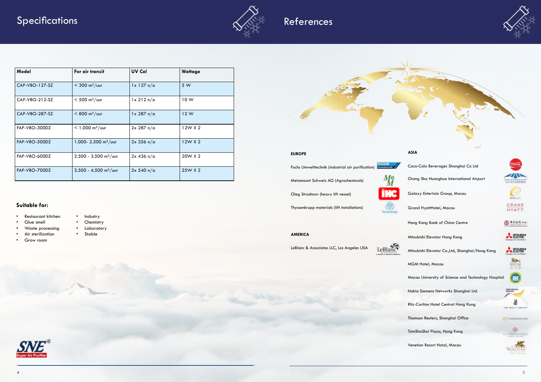



#### **EUROPE**

Fuchs Umwelttechnik (industrial air purification)

Metamount Schweiz AG (Agrochemicals)

Oleg Strashnov (heavy lift vessel)

Thyssenkrupp materials (lift installations)



**AMERICA**

LeBlanc & Associates LLC, Los Angeles USA





#### **ASIA**

Coca-Cola Beverages Shanghai Co Ltd Chang Sha Huanghua International Airport Galaxy Entertain Group, Macau Grand HyattHotel, Macau Hong Kong Bank of China Centre Mitsubishi Elevator Hong Kong Mitsubishi Elevator Co.,Ltd, Shanghai/Hong Kong MGM Hotel, Macau Macau University of Science and Technology Hospital Nokia Siemens Networks Shanghai Ltd. Ritz-Carlton Hotel Central Hong Kong Thomson Reuters, Shanghai Office TsimShaShui Plaza, Hong Kong Venetion Resort Hotal, Macau









- Glue smell
- Industry • Chemistry
- Laboratory • Stable
- Air sterilization
- Grow room





## References

| <b>Model</b>   | For air transit                     | <b>UV Cel</b> | <b>Wattage</b> |
|----------------|-------------------------------------|---------------|----------------|
| CAP-VBO-127-SZ | $<$ 300 m <sup>3</sup> /vur         | $1x$ 127 n/a  | 5 W            |
| CAP-VBO-212-SZ | $< 500$ m <sup>3</sup> /uur         | $1x$ 212 n/a  | 10W            |
| CAP-VBO-287-SZ | $< 800 \text{ m}^3/\text{u}$        | $1x$ 287 n/a  | 12W            |
| FAP-VBO-300DZ  | $< 1.000$ m <sup>3</sup> /uur       | 2x 287 n/a    | 12W X 2        |
| FAP-VBO-500DZ  | 1.000- 2.500 $\text{m}^3/\text{u}$  | $2x$ 356 n/a  | 12W X 2        |
| FAP-VBO-600DZ  | $2.500 - 3.500$ m <sup>3</sup> /uur | $2x$ 436 n/a  | 20W X 2        |
| FAP-VBO-700DZ  | $3.500 - 4.500$ m <sup>3</sup> /uur | 2x 540 n/a    | 25W X 2        |

#### **Suitable for:**

• Restaurant kitchen

• Waste processing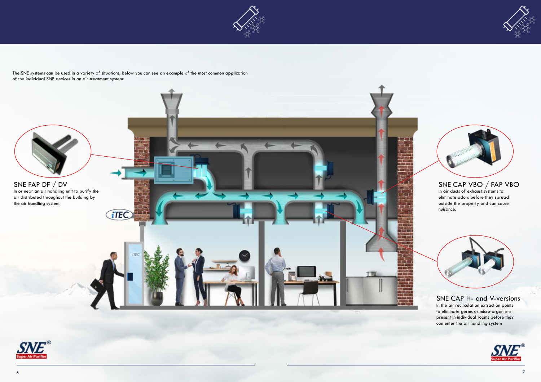





### SNE CAP H- and V-versions

In the air recirculation extraction points to eliminate germs or micro-organisms present in individual rooms before they can enter the air handling system



### SNE CAP VBO / FAP VBO

In air ducts of exhaust systems to eliminate odors before they spread outside the property and can cause nuisance.





The SNE systems can be used in a variety of situations, below you can see an example of the most common application of the individual SNE devices in an air treatment system: